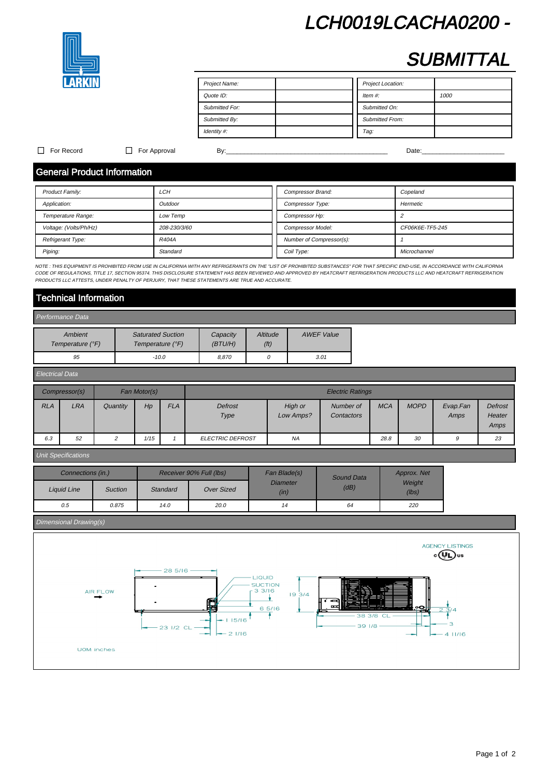# LCH0019LCACHA0200 -



# **SUBMITTAL**

| Project Name:         | Project Location:      |
|-----------------------|------------------------|
| Quote ID:             | Item $#$ :<br>1000     |
| <b>Submitted For:</b> | Submitted On:          |
| Submitted By:         | <b>Submitted From:</b> |
| Identity #:           | Tag:                   |

### For Record For Approval By:\_\_\_\_\_\_\_\_\_\_\_\_\_\_\_\_\_\_\_\_\_\_\_\_\_\_\_\_\_\_\_\_\_\_\_\_\_\_\_\_\_\_\_\_\_ Date:\_\_\_\_\_\_\_\_\_\_\_\_\_\_\_\_\_\_\_\_\_\_\_

# General Product Information

| Product Family:        | LCH          | Compressor Brand:        | Copeland        |
|------------------------|--------------|--------------------------|-----------------|
| Application:           | Outdoor      | Compressor Type:         | Hermetic        |
| Temperature Range:     | Low Temp     | Compressor Hp:           |                 |
| Voltage: (Volts/Ph/Hz) | 208-230/3/60 | <b>Compressor Model:</b> | CF06K6E-TF5-245 |
| Refrigerant Type:      | <b>R404A</b> | Number of Compressor(s): |                 |
| Piping:                | Standard     | Coil Type:               | Microchannel    |

NOTE : THIS EQUIPMENT IS PROHIBITED FROM USE IN CALIFORNIA WITH ANY REFRIGERANTS ON THE "LIST OF PROHIBITED SUBSTANCES" FOR THAT SPECIFIC END-USE, IN ACCORDANCE WITH CALIFORNIA CODE OF REGULATIONS, TITLE 17, SECTION 95374. THIS DISCLOSURE STATEMENT HAS BEEN REVIEWED AND APPROVED BY HEATCRAFT REFRIGERATION PRODUCTS LLC AND HEATCRAFT REFRIGERATION PRODUCTS AND HEATCRAFT REFRIGERATION PRODUCTS LLC A PRODUCTS LLC ATTESTS, UNDER PENALTY OF PERJURY, THAT THESE STATEMENTS ARE TRUE AND ACCURATE.

# Technical Information

| Performance Data            |                                              |                      |                               |                   |  |  |  |
|-----------------------------|----------------------------------------------|----------------------|-------------------------------|-------------------|--|--|--|
| Ambient<br>Temperature (°F) | <b>Saturated Suction</b><br>Temperature (°F) | Capacity<br>(BT U/H) | Altitude<br>(f <sup>t</sup> ) | <b>AWEF Value</b> |  |  |  |
| 95                          | -10.0                                        | 8,870                |                               | 3.01              |  |  |  |

| Electrical Data |               |          |              |            |                         |                      |                         |            |             |                  |                                  |
|-----------------|---------------|----------|--------------|------------|-------------------------|----------------------|-------------------------|------------|-------------|------------------|----------------------------------|
|                 | Compressor(s) |          | Fan Motor(s) |            | <b>Electric Ratings</b> |                      |                         |            |             |                  |                                  |
| <b>RLA</b>      | <b>LRA</b>    | Quantity | Hp           | <b>FLA</b> | Defrost<br>Type         | High or<br>Low Amps? | Number of<br>Contactors | <b>MCA</b> | <b>MOPD</b> | Evap.Fan<br>Amps | <b>Defrost</b><br>Heater<br>Amps |
| 6.3             | 52            | 2        | 1/15         |            | <b>ELECTRIC DEFROST</b> | <b>NA</b>            |                         | 28.8       | 30          | 9                | 23                               |

### Unit Specifications

| Connections (in.) |                |          | Receiver 90% Full (lbs) | Fan Blade(s)            | Sound Data |                 |  |
|-------------------|----------------|----------|-------------------------|-------------------------|------------|-----------------|--|
| Liquid Line       | <b>Suction</b> | Standard | <b>Over Sized</b>       | <b>Diameter</b><br>(in) | (dB)       | Weight<br>(lbs) |  |
| 0.5               | 0.875          | 14.0     | 20.0                    | 14                      | 64         | 220             |  |

## Dimensional Drawing(s)